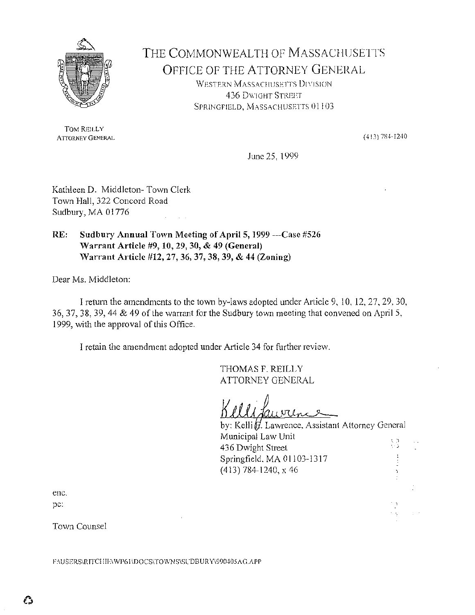

THE COMMONWEAL TH OF MASSACHUSETTS OFFICE OF THE ATTORNEY GENERAL WESTERN MASSACHUSETTS DIVISION 436 DWIGHT STREET SPR!NGF!ELD, MASSACHUSETTS 01103

TOM REILLY ATIORNEY GENERAL

 $(413)$  784-1240

June 25, 1999

Kathleen D. Middleton- Town Clerk Town Hall, 322 Concord Road Sudbury, MA 01776

RE: Sudbury Annual Town Meeting of April 5, 1999 ---Case #526 Warrant Article #9, 10, 29, 30, & 49 (General) Warrant Article #12, 27, 36, 37, 38, 39, & 44 (Zoning)

Dear Ms. Middleton:

I return the amendments to the town by-laws adopted under Article 9, 10, 12, 27, 29, 30, 36, 37, 38, 39, 44 & 49 of the warrant for the Sudbury town meeting that convened on April 5, 1999, with the approval of this Office.

I retain the amendment adopted under Article 34 for further review.

THOMAS F. REILLY ATTORNEY GENERAL

d Lauvien

by: Kelli  $\hat{H}$ . Lawrence, Assistant Attorney General Municipal Law Unit 436 Dwight Street 医皮质 医单位 Springfield. MA 01103-1317 (413) 784-1240, x 46

enc. pc:

Town Counsel

F:\USERS\RITCHIE\WP6I\DOCS\TOWNS\SUDBURY\990405AG.APP